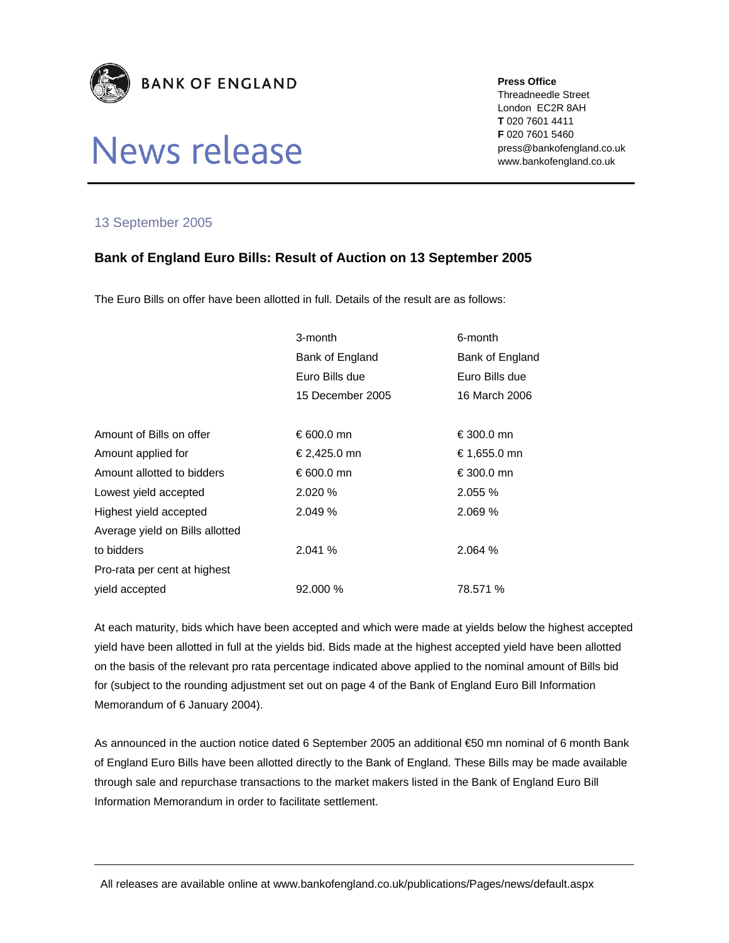

## News release

**Press Office** 

Threadneedle Street London EC2R 8AH **T** 020 7601 4411 **F** 020 7601 5460 press@bankofengland.co.uk www.bankofengland.co.uk

## 13 September 2005

## **Bank of England Euro Bills: Result of Auction on 13 September 2005**

The Euro Bills on offer have been allotted in full. Details of the result are as follows:

|                                 | 3-month          | 6-month         |
|---------------------------------|------------------|-----------------|
|                                 | Bank of England  | Bank of England |
|                                 | Euro Bills due   | Euro Bills due  |
|                                 | 15 December 2005 | 16 March 2006   |
|                                 |                  |                 |
| Amount of Bills on offer        | €600.0 mn        | €300.0 mn       |
| Amount applied for              | €2,425.0 mn      | € 1,655.0 mn    |
| Amount allotted to bidders      | € 600.0 mn       | €300.0 mn       |
| Lowest yield accepted           | 2.020%           | 2.055%          |
| Highest yield accepted          | 2.049%           | 2.069 %         |
| Average yield on Bills allotted |                  |                 |
| to bidders                      | 2.041%           | 2.064 %         |
| Pro-rata per cent at highest    |                  |                 |
| vield accepted                  | 92,000 %         | 78.571 %        |

At each maturity, bids which have been accepted and which were made at yields below the highest accepted yield have been allotted in full at the yields bid. Bids made at the highest accepted yield have been allotted on the basis of the relevant pro rata percentage indicated above applied to the nominal amount of Bills bid for (subject to the rounding adjustment set out on page 4 of the Bank of England Euro Bill Information Memorandum of 6 January 2004).

As announced in the auction notice dated 6 September 2005 an additional €50 mn nominal of 6 month Bank of England Euro Bills have been allotted directly to the Bank of England. These Bills may be made available through sale and repurchase transactions to the market makers listed in the Bank of England Euro Bill Information Memorandum in order to facilitate settlement.